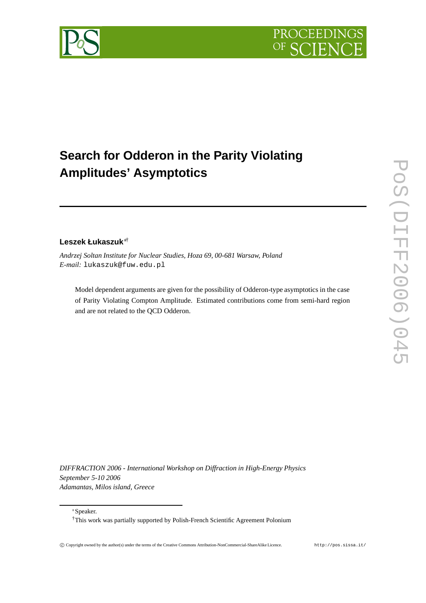

# **Search for Odderon in the Parity Violating Amplitudes' Asymptotics**

# **Leszek Łukaszuk**†

*Andrzej Soltan Institute for Nuclear Studies, Hoza 69, 00-681 Warsaw, Poland E-mail:* lukaszuk@fuw.edu.pl

Model dependent arguments are given for the possibility of Odderon-type asymptotics in the case of Parity Violating Compton Amplitude. Estimated contributions come from semi-hard region and are not related to the QCD Odderon.

*DIFFRACTION 2006 - International Workshop on Diffraction in High-Energy Physics September 5-10 2006 Adamantas, Milos island, Greece*

Speaker.

†This work was partially supported by Polish-French Scientific Agreement Polonium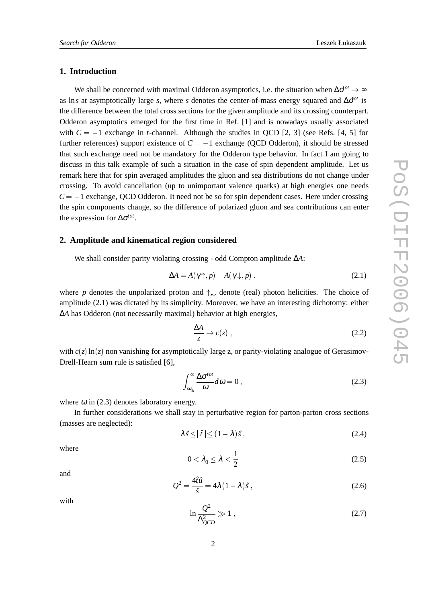# **1. Introduction**

We shall be concerned with maximal Odderon asymptotics, i.e. the situation when  $\Delta \sigma^{tot} \to \infty$ as lns at asymptotically large s, where s denotes the center-of-mass energy squared and  $\Delta \mathbf{d}^{ot}$  is the difference between the total cross sections for the given amplitude and its crossing counterpart. Odderon asymptotics emerged for the first time in Ref. [1] and is nowadays usually associated with  $C = -1$  exchange in *t*-channel. Although the studies in QCD [2, 3] (see Refs. [4, 5] for further references) support existence of  $C = -1$  exchange (QCD Odderon), it should be stressed that such exchange need not be mandatory for the Odderon type behavior. In fact I am going to discuss in this talk example of such a situation in the case of spin dependent amplitude. Let us remark here that for spin averaged amplitudes the gluon and sea distributions do not change under crossing. To avoid cancellation (up to unimportant valence quarks) at high energies one needs  $C = -1$  exchange, QCD Odderon. It need not be so for spin dependent cases. Here under crossing the spin components change, so the difference of polarized gluon and sea contributions can enter the expression for ∆σ*tot*.

#### **2. Amplitude and kinematical region considered**

We shall consider parity violating crossing - odd Compton amplitude ∆*A*:

$$
\Delta A = A(\gamma \uparrow, p) - A(\gamma \downarrow, p) , \qquad (2.1)
$$

where p denotes the unpolarized proton and  $\uparrow, \downarrow$  denote (real) photon helicities. The choice of amplitude (2.1) was dictated by its simplicity. Moreover, we have an interesting dichotomy: either ∆*A* has Odderon (not necessarily maximal) behavior at high energies,

$$
\frac{\Delta A}{z} \to c(z) \,, \tag{2.2}
$$

with  $c(z) \ln(z)$  non vanishing for asymptotically large z, or parity-violating analogue of Gerasimov-Drell-Hearn sum rule is satisfied [6],

$$
\int_{\omega_{th}}^{\infty} \frac{\Delta \sigma^{tot}}{\omega} d\omega = 0, \qquad (2.3)
$$

where  $\omega$  in (2.3) denotes laboratory energy.

In further considerations we shall stay in perturbative region for parton-parton cross sections (masses are neglected):

$$
\lambda \hat{s} \leq |\hat{t}| \leq (1 - \lambda)\hat{s},\tag{2.4}
$$

where

$$
0 < \lambda_0 \le \lambda < \frac{1}{2} \tag{2.5}
$$

and

$$
Q^2 = \frac{4\hat{t}\hat{u}}{\hat{s}} = 4\lambda (1 - \lambda)\hat{s} , \qquad (2.6)
$$

with

$$
\ln \frac{Q^2}{\Lambda_{QCD}^2} \gg 1 \,, \tag{2.7}
$$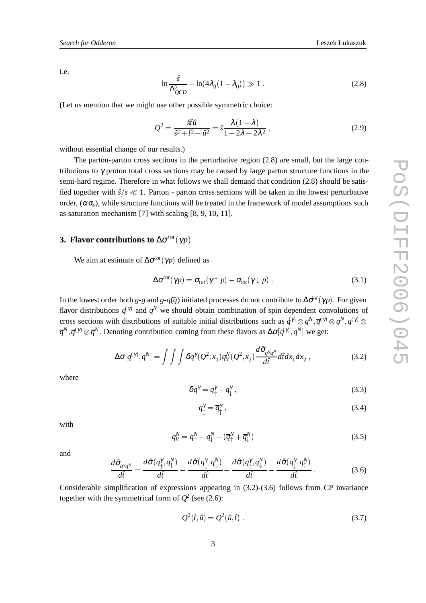i.e.

$$
\ln \frac{\hat{s}}{\Lambda_{QCD}^2} + \ln(4\lambda_0(1 - \lambda_0)) \gg 1.
$$
 (2.8)

(Let us mention that we might use other possible symmetric choice:

$$
Q^2 = \frac{\hat{s}\hat{t}\hat{u}}{\hat{s}^2 + \hat{t}^2 + \hat{u}^2} = \hat{s}\frac{\lambda(1-\lambda)}{1 - 2\lambda + 2\lambda^2},
$$
\n(2.9)

without essential change of our results.)

The parton-parton cross sections in the perturbative region (2.8) are small, but the large contributions to  $\gamma$  proton total cross sections may be caused by large parton structure functions in the semi-hard regime. Therefore in what follows we shall demand that condition (2.8) should be satisfied together with  $\hat{s}/s \ll 1$ . Parton - parton cross sections will be taken in the lowest perturbative order,  $(\alpha \alpha_s)$ , while structure functions will be treated in the framework of model assumptions such as saturation mechanism [7] with scaling [8, 9, 10, 11]. The parton-parton cross sections with the perturbative regon (2.8) are small, but the large con-<br>sections to γ proton total cross sections may be caused by large parton structure functions in the<br>semi-hard regime. There

# **3. Flavor contributions to**  $\Delta \sigma^{tot}(\gamma p)$

We aim at estimate of  $\Delta \sigma^{tot}(\gamma p)$  defined as

$$
\Delta \sigma^{tot}(\gamma p) = \sigma_{tot}(\gamma \uparrow p) - \sigma_{tot}(\gamma \downarrow p). \qquad (3.1)
$$

In the lowest order both *g*-*g* and *g*-*q*( $\overline{q}$ ) initiated processes do not contribute to  $\Delta \sigma^{ot}(\gamma p)$ . For given flavor distributions  $q^{(\gamma)}$  and  $q^N$  we should obtain combination of spin dependent convolutions of  $\overline{q}^N$ ,  $\overline{q}^{(\gamma)} \otimes \overline{q}^N$ . Denoting contribution coming from these flavors as  $\Delta \sigma[q^{(\gamma)}, q^N]$  we get:

$$
\Delta \sigma[q^{(\gamma)}, q^N] = \iint \delta q^{\gamma} (Q^2, x_1) q_V^N(Q^2, x_2) \frac{d \hat{\sigma}_{q^{\gamma} q^N}}{d \hat{t}} d \hat{t} dx_1 dx_2 , \qquad (3.2)
$$

where

$$
\delta q^{\gamma} = q_{\uparrow}^{\gamma} - q_{\downarrow}^{\gamma} \,, \tag{3.3}
$$

$$
q_{\updownarrow}^{\gamma} = \overline{q}_{\downarrow}^{\gamma} \,, \tag{3.4}
$$

with

$$
q_V^N = q_\uparrow^N + q_\downarrow^N - (\overline{q}_\uparrow^N + \overline{q}_\downarrow^N) \tag{3.5}
$$

and

$$
\frac{d\hat{\sigma}_{q^{\gamma}q^N}}{d\hat{t}} = \frac{d\hat{\sigma}(q^{\gamma}_{\uparrow}, q^N_{\uparrow})}{d\hat{t}} - \frac{d\hat{\sigma}(q^{\gamma}_{\downarrow}, q^N_{\downarrow})}{d\hat{t}} + \frac{d\hat{\sigma}(\overline{q}^{\gamma}_{\uparrow}, q^N_{\downarrow})}{d\hat{t}} - \frac{d\hat{\sigma}(\overline{q}^{\gamma}_{\downarrow}, q^N_{\uparrow})}{d\hat{t}}.
$$
(3.6)

Considerable simplification of expressions appearing in (3.2)-(3.6) follows from CP invariance together with the symmetrical form of  $Q^2$  (see (2.6):

$$
Q^{2}(\hat{t}, \hat{u}) = Q^{2}(\hat{u}, \hat{t}) . \tag{3.7}
$$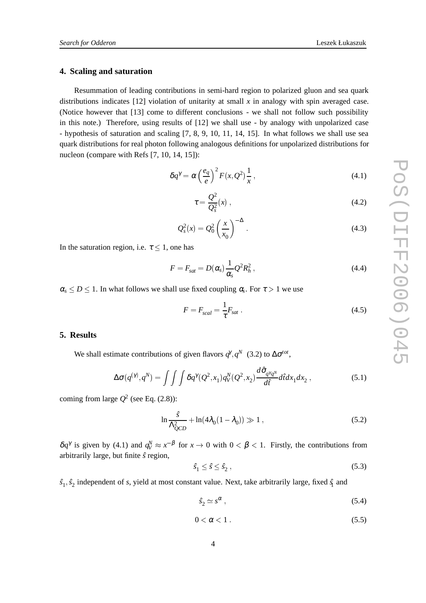### **4. Scaling and saturation**

Resummation of leading contributions in semi-hard region to polarized gluon and sea quark distributions indicates [12] violation of unitarity at small *x* in analogy with spin averaged case. (Notice however that [13] come to different conclusions - we shall not follow such possibility in this note.) Therefore, using results of [12] we shall use - by analogy with unpolarized case - hypothesis of saturation and scaling [7, 8, 9, 10, 11, 14, 15]. In what follows we shall use sea quark distributions for real photon following analogous definitions for unpolarized distributions for nucleon (compare with Refs [7, 10, 14, 15]):

$$
\delta q^{\gamma} = \alpha \left(\frac{e_q}{e}\right)^2 F(x, Q^2) \frac{1}{x}, \qquad (4.1)
$$

$$
\tau = \frac{Q^2}{Q_s^2}(x) \tag{4.2}
$$

$$
Q_s^2(x) = Q_0^2 \left(\frac{x}{x_0}\right)^{-\Delta}.
$$
\n(4.3)

In the saturation region, i.e.  $\tau$  < 1, one has

$$
F = F_{sat} = D(\alpha_s) \frac{1}{\alpha_s} Q^2 R_h^2, \qquad (4.4)
$$

 $\alpha_s \leq D \leq 1$ . In what follows we shall use fixed coupling  $\alpha_s$ . For  $\tau > 1$  we use

$$
F = F_{scal} = \frac{1}{\tau} F_{sat} \tag{4.5}
$$

## **5. Results**

We shall estimate contributions of given flavors  $q^{\gamma}, q^N$  (3.2) to  $\Delta \sigma^{tot}$ ,

$$
\Delta \sigma(q^{(\gamma)}, q^N) = \int \int \int \delta q^{\gamma} (Q^2, x_1) q_V^N(Q^2, x_2) \frac{d\hat{\sigma}_{q^{\gamma}q^N}}{d\hat{t}} d\hat{t} dx_1 dx_2 , \qquad (5.1)
$$

coming from large  $O^2$  (see Eq. (2.8)):

$$
\ln \frac{\hat{s}}{\Lambda_{QCD}^2} + \ln(4\lambda_0(1 - \lambda_0)) \gg 1 , \qquad (5.2)
$$

 $\delta q^{\gamma}$  is given by (4.1) and  $q_V^N \approx x^{-\beta}$  for  $x \to 0$  with  $0 < \beta < 1$ . Firstly, the contributions from arbitrarily large, but finite ˆ*s* region,

$$
\hat{s}_1 \le \hat{s} \le \hat{s}_2 \,,\tag{5.3}
$$

 $\hat{s}_1, \hat{s}_2$  independent of *s*, yield at most constant value. Next, take arbitrarily large, fixed  $\hat{s}_1$  and

$$
\hat{s}_2 \simeq s^\alpha \,,\tag{5.4}
$$

$$
0 < \alpha < 1 \tag{5.5}
$$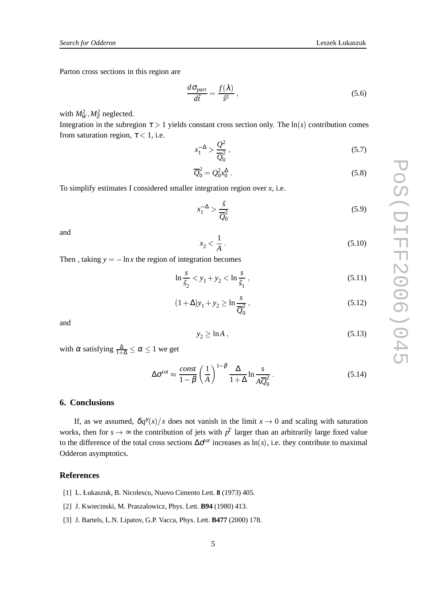Parton cross sections in this region are

$$
\frac{d\sigma_{part}}{d\hat{t}} = \frac{f(\lambda)}{\hat{s}^2} \,,\tag{5.6}
$$

with  $M_W^2, M_Z^2$  neglected.

Integration in the subregion  $\tau > 1$  yields constant cross section only. The  $\ln(s)$  contribution comes from saturation region,  $\tau$  < 1, i.e.

$$
x_1^{-\Delta} > \frac{Q^2}{\overline{Q}_0^2} \,,\tag{5.7}
$$

$$
\overline{Q}_0^2 = Q_0^2 x_0^\Delta \,. \tag{5.8}
$$

To simplify estimates I considered smaller integration region over *x*, i.e.

$$
x_1^{-\Delta} > \frac{\hat{s}}{\overline{Q_0^2}}\tag{5.9}
$$

and

$$
x_2 < \frac{1}{A} \tag{5.10}
$$

Then, taking  $y = -\ln x$  the region of integration becomes

$$
\ln \frac{s}{\hat{s}_2} < y_1 + y_2 < \ln \frac{s}{\hat{s}_1} \,,\tag{5.11}
$$

$$
(1 + \Delta)y_1 + y_2 \ge \ln \frac{s}{\overline{Q}_0^2},
$$
\n(5.12)

and

$$
y_2 \ge \ln A \,,\tag{5.13}
$$

with  $\alpha$  satisfying  $\frac{\Delta}{1+\Delta} \leq \alpha \leq 1$  we get

$$
\Delta \sigma^{tot} \approx \frac{\text{const}}{1 - \beta} \left(\frac{1}{A}\right)^{1 - \beta} \frac{\Delta}{1 + \Delta} \ln \frac{s}{A \overline{Q}_0^2} \,. \tag{5.14}
$$

#### **6. Conclusions**

If, as we assumed,  $\delta q^{\gamma}(x)/x$  does not vanish in the limit  $x \to 0$  and scaling with saturation works, then for  $s \to \infty$  the contribution of jets with  $p<sup>T</sup>$  larger than an arbitrarily large fixed value to the difference of the total cross sections  $\Delta \sigma^{tot}$  increases as ln(s), i.e. they contribute to maximal Odderon asymptotics.

#### **References**

- [1] L. Łukaszuk, B. Nicolescu, Nuovo Cimento Lett. **8** (1973) 405.
- [2] J. Kwiecinski, M. Praszalowicz, Phys. Lett. **B94** (1980) 413.
- [3] J. Bartels, L.N. Lipatov, G.P. Vacca, Phys. Lett. **B477** (2000) 178.